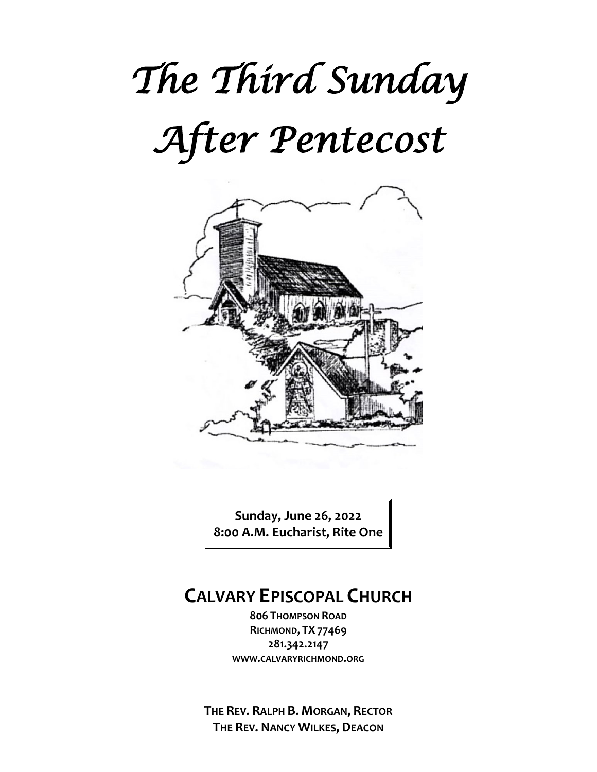# *The Third Sunday After Pentecost*



**Sunday, June 26, 2022 8:00 A.M. Eucharist, Rite One**

# **CALVARY EPISCOPAL CHURCH**

**806 THOMPSON ROAD RICHMOND, TX 77469 281.342.2147 WWW.CALVARYRICHMOND.ORG**

**THE REV. RALPH B. MORGAN, RECTOR THE REV. NANCY WILKES, DEACON**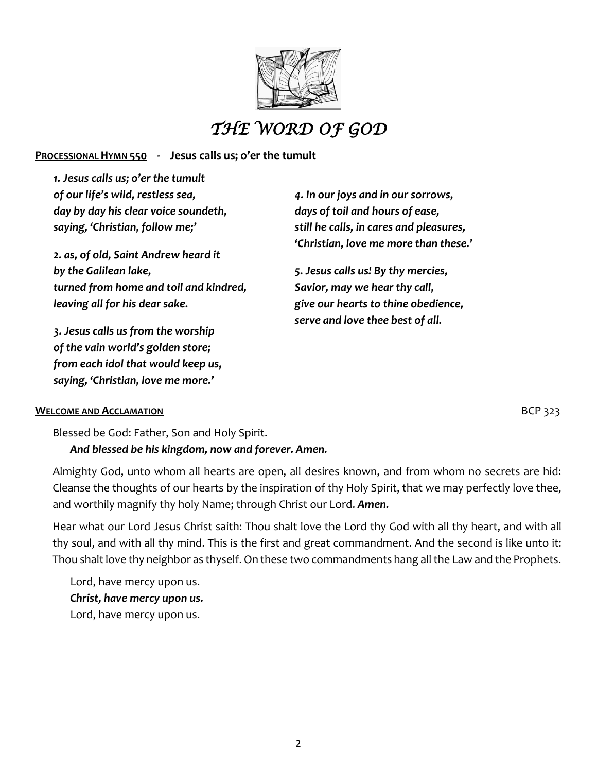

# *THE WORD OF GOD*

#### **PROCESSIONAL HYMN 550 - Jesus calls us; o'er the tumult**

*1. Jesus calls us; o'er the tumult of our life's wild, restless sea, day by day his clear voice soundeth, saying, 'Christian, follow me;'*

*2. as, of old, Saint Andrew heard it by the Galilean lake, turned from home and toil and kindred, leaving all for his dear sake.*

*3. Jesus calls us from the worship of the vain world's golden store; from each idol that would keep us, saying, 'Christian, love me more.'*

*4. In our joys and in our sorrows, days of toil and hours of ease, still he calls, in cares and pleasures, 'Christian, love me more than these.'*

*5. Jesus calls us! By thy mercies, Savior, may we hear thy call, give our hearts to thine obedience, serve and love thee best of all.*

#### **WELCOME AND ACCLAMATION BUDGE 323**

Blessed be God: Father, Son and Holy Spirit.

#### *And blessed be his kingdom, now and forever. Amen.*

Almighty God, unto whom all hearts are open, all desires known, and from whom no secrets are hid: Cleanse the thoughts of our hearts by the inspiration of thy Holy Spirit, that we may perfectly love thee, and worthily magnify thy holy Name; through Christ our Lord. *Amen.*

Hear what our Lord Jesus Christ saith: Thou shalt love the Lord thy God with all thy heart, and with all thy soul, and with all thy mind. This is the first and great commandment. And the second is like unto it: Thou shalt love thy neighbor as thyself. On these two commandments hang all the Law and the Prophets.

Lord, have mercy upon us. *Christ, have mercy upon us.* Lord, have mercy upon us.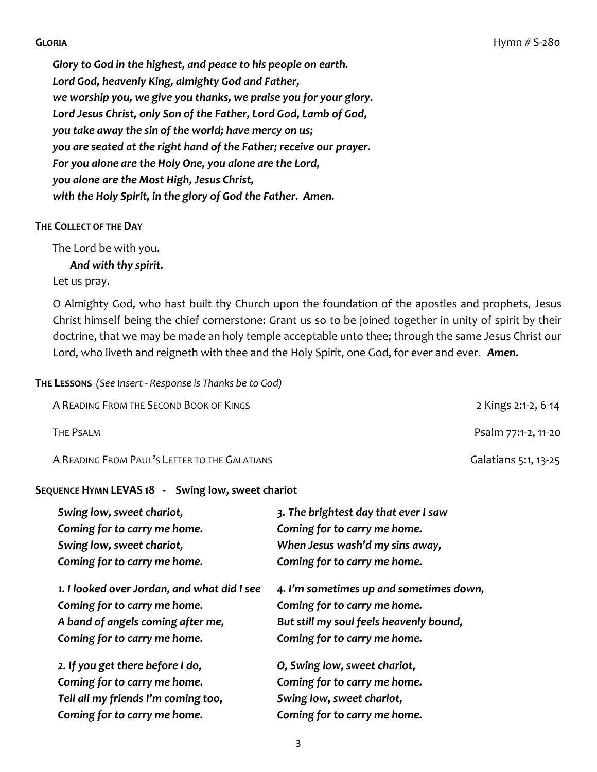*Glory to God in the highest, and peace to his people on earth. Lord God, heavenly King, almighty God and Father, we worship you, we give you thanks, we praise you for your glory. Lord Jesus Christ, only Son of the Father, Lord God, Lamb of God, you take away the sin of the world; have mercy on us; you are seated at the right hand of the Father; receive our prayer. For you alone are the Holy One, you alone are the Lord, you alone are the Most High, Jesus Christ, with the Holy Spirit, in the glory of God the Father. Amen.*

#### **THE COLLECT OF THE DAY**

The Lord be with you.

*And with thy spirit.* 

Let us pray.

O Almighty God, who hast built thy Church upon the foundation of the apostles and prophets, Jesus Christ himself being the chief cornerstone: Grant us so to be joined together in unity of spirit by their doctrine, that we may be made an holy temple acceptable unto thee; through the same Jesus Christ our Lord, who liveth and reigneth with thee and the Holy Spirit, one God, for ever and ever. *Amen.*

#### **THE LESSONS** *(See Insert - Response is Thanks be to God)*

| A READING FROM THE SECOND BOOK OF KINGS       | 2 Kings 2:1-2, 6-14  |
|-----------------------------------------------|----------------------|
| THE PSALM                                     | Psalm 77:1-2, 11-20  |
| A READING FROM PAUL'S LETTER TO THE GALATIANS | Galatians 5:1, 13-25 |

#### **SEQUENCE HYMN LEVAS 18 - Swing low, sweet chariot**

| Swing low, sweet chariot,                   | 3. The brightest day that ever I saw    |
|---------------------------------------------|-----------------------------------------|
| Coming for to carry me home.                | Coming for to carry me home.            |
| Swing low, sweet chariot,                   | When Jesus wash'd my sins away,         |
| Coming for to carry me home.                | Coming for to carry me home.            |
| 1. I looked over Jordan, and what did I see | 4. I'm sometimes up and sometimes down, |
| Coming for to carry me home.                | Coming for to carry me home.            |
| A band of angels coming after me,           | But still my soul feels heavenly bound, |
| Coming for to carry me home.                | Coming for to carry me home.            |
| 2. If you get there before I do,            | O, Swing low, sweet chariot,            |
| Coming for to carry me home.                | Coming for to carry me home.            |
| Tell all my friends I'm coming too,         | Swing low, sweet chariot,               |
| Coming for to carry me home.                | Coming for to carry me home.            |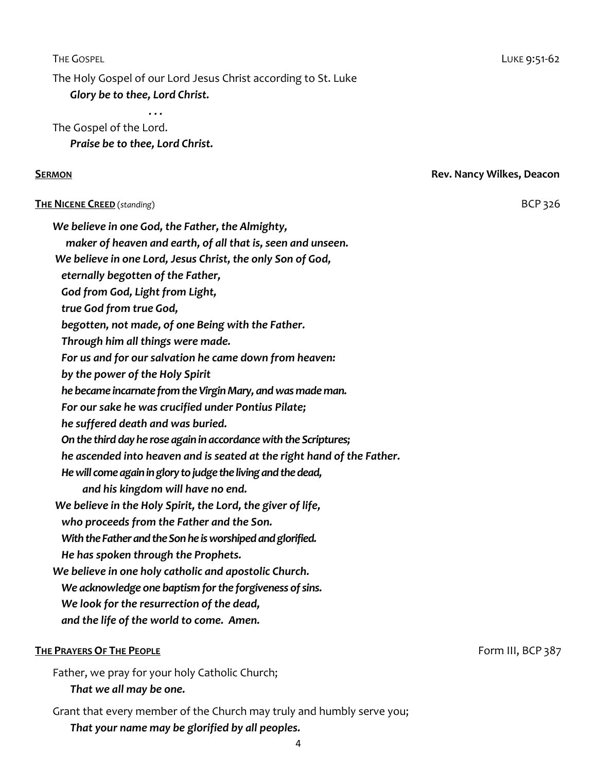4

THE GOSPEL **Example 2:51-62** 

The Holy Gospel of our Lord Jesus Christ according to St. Luke

 *Glory be to thee, Lord Christ.*

 *. . .* The Gospel of the Lord. *Praise be to thee, Lord Christ.*

#### **SERMON** Rev. Nancy Wilkes, Deacon

#### **THE NICENE CREED** (*standing*) BCP 326

*We believe in one God, the Father, the Almighty,*

*maker of heaven and earth, of all that is, seen and unseen.*

*We believe in one Lord, Jesus Christ, the only Son of God,*

*eternally begotten of the Father,*

*God from God, Light from Light,*

*true God from true God,*

*begotten, not made, of one Being with the Father.*

*Through him all things were made.*

*For us and for our salvation he came down from heaven:*

*by the power of the Holy Spirit*

*he became incarnate from the Virgin Mary, and was made man.*

*For our sake he was crucified under Pontius Pilate;*

*he suffered death and was buried.*

*On the third day he rose again in accordance with the Scriptures;*

*he ascended into heaven and is seated at the right hand of the Father.*

*He will come again in glory to judge the living and the dead,*

 *and his kingdom will have no end.*

*We believe in the Holy Spirit, the Lord, the giver of life,*

*who proceeds from the Father and the Son.*

*With the Father and the Son he is worshiped and glorified.*

*He has spoken through the Prophets.*

*We believe in one holy catholic and apostolic Church.*

*We acknowledge one baptism for the forgiveness of sins.*

*We look for the resurrection of the dead,*

*and the life of the world to come. Amen.*

#### **THE PRAYERS OF THE PEOPLE Form III, BCP 387**

Father, we pray for your holy Catholic Church; *That we all may be one.*

Grant that every member of the Church may truly and humbly serve you;

*That your name may be glorified by all peoples.*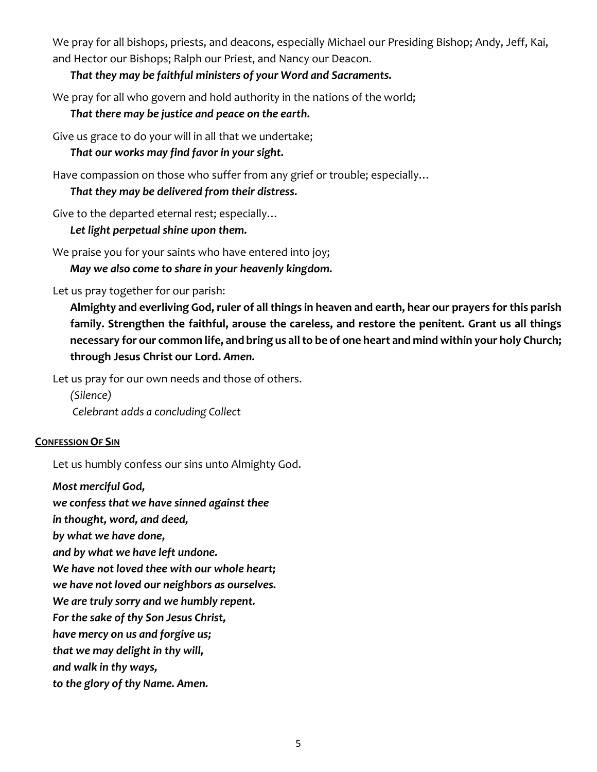We pray for all bishops, priests, and deacons, especially Michael our Presiding Bishop; Andy, Jeff, Kai, and Hector our Bishops; Ralph our Priest, and Nancy our Deacon.

#### *That they may be faithful ministers of your Word and Sacraments.*

We pray for all who govern and hold authority in the nations of the world;

#### *That there may be justice and peace on the earth.*

Give us grace to do your will in all that we undertake;

#### *That our works may find favor in your sight.*

Have compassion on those who suffer from any grief or trouble; especially…

#### *That they may be delivered from their distress.*

Give to the departed eternal rest; especially…

#### *Let light perpetual shine upon them.*

We praise you for your saints who have entered into joy;

*May we also come to share in your heavenly kingdom.*

#### Let us pray together for our parish:

**Almighty and everliving God, ruler of all things in heaven and earth, hear our prayers for this parish family. Strengthen the faithful, arouse the careless, and restore the penitent. Grant us all things necessary for our common life, and bring us all to be of one heart and mind within your holy Church; through Jesus Christ our Lord.** *Amen.*

Let us pray for our own needs and those of others.

*(Silence) Celebrant adds a concluding Collect*

#### **CONFESSION OF SIN**

Let us humbly confess our sins unto Almighty God.

#### *Most merciful God,*

*we confess that we have sinned against thee* 

*in thought, word, and deed,* 

*by what we have done,* 

*and by what we have left undone.* 

*We have not loved thee with our whole heart;* 

*we have not loved our neighbors as ourselves.* 

*We are truly sorry and we humbly repent.*

*For the sake of thy Son Jesus Christ,* 

*have mercy on us and forgive us;* 

*that we may delight in thy will,*

*and walk in thy ways,* 

*to the glory of thy Name. Amen.*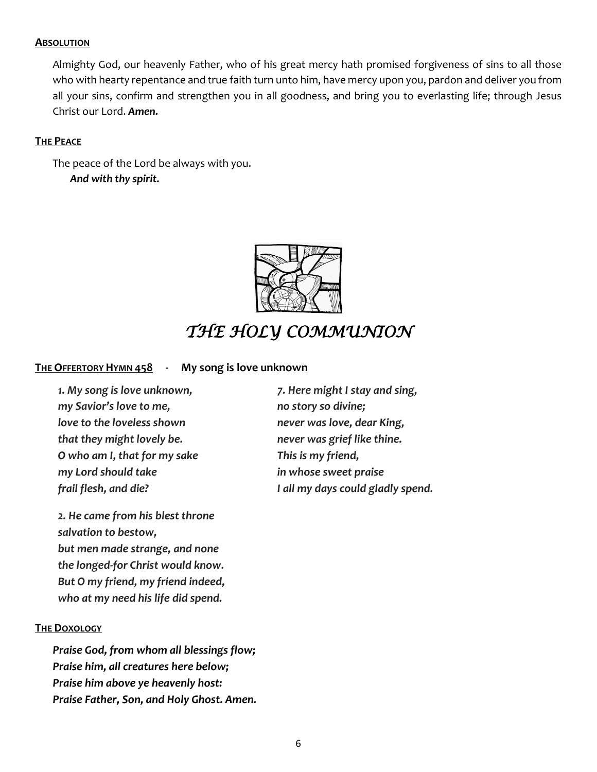#### **ABSOLUTION**

Almighty God, our heavenly Father, who of his great mercy hath promised forgiveness of sins to all those who with hearty repentance and true faith turn unto him, have mercy upon you, pardon and deliver you from all your sins, confirm and strengthen you in all goodness, and bring you to everlasting life; through Jesus Christ our Lord. *Amen.*

#### **THE PEACE**

The peace of the Lord be always with you. *And with thy spirit.*



# *THE HOLY COMMUNION*

#### **THE OFFERTORY HYMN 458 - My song is love unknown**

*1. My song is love unknown, my Savior's love to me, love to the loveless shown that they might lovely be. O who am I, that for my sake my Lord should take frail flesh, and die?*

*2. He came from his blest throne salvation to bestow, but men made strange, and none the longed-for Christ would know. But O my friend, my friend indeed, who at my need his life did spend.*

#### **THE DOXOLOGY**

*Praise God, from whom all blessings flow; Praise him, all creatures here below; Praise him above ye heavenly host: Praise Father, Son, and Holy Ghost. Amen.* *7. Here might I stay and sing, no story so divine; never was love, dear King, never was grief like thine. This is my friend, in whose sweet praise I all my days could gladly spend.*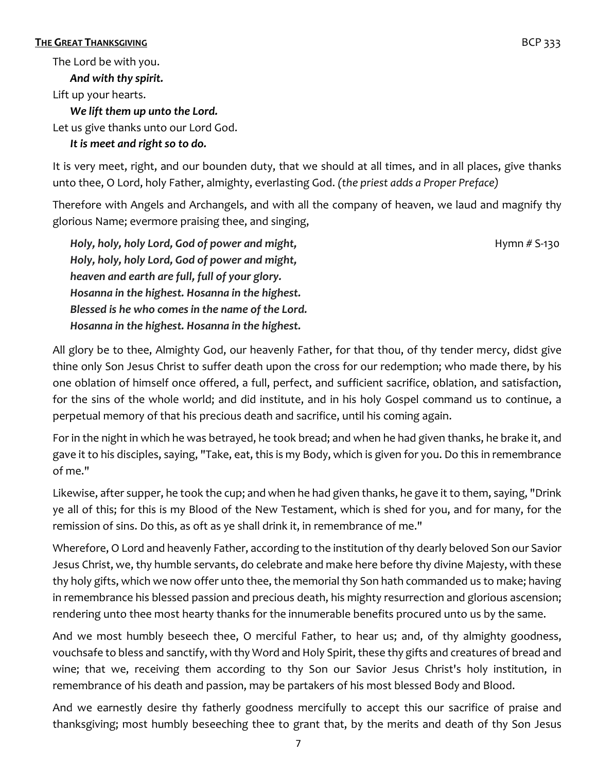#### **THE GREAT THANKSGIVING BCP** 333

The Lord be with you. *And with thy spirit.* Lift up your hearts. *We lift them up unto the Lord.* Let us give thanks unto our Lord God.

#### *It is meet and right so to do.*

It is very meet, right, and our bounden duty, that we should at all times, and in all places, give thanks unto thee, O Lord, holy Father, almighty, everlasting God. *(the priest adds a Proper Preface)*

Therefore with Angels and Archangels, and with all the company of heaven, we laud and magnify thy glorious Name; evermore praising thee, and singing,

*Holy, holy, holy Lord, God of power and might,* **Holy, holy, holy, holy Equational Assaure Hymn** # S-130 *Holy, holy, holy Lord, God of power and might, heaven and earth are full, full of your glory. Hosanna in the highest. Hosanna in the highest. Blessed is he who comes in the name of the Lord. Hosanna in the highest. Hosanna in the highest.*

All glory be to thee, Almighty God, our heavenly Father, for that thou, of thy tender mercy, didst give thine only Son Jesus Christ to suffer death upon the cross for our redemption; who made there, by his one oblation of himself once offered, a full, perfect, and sufficient sacrifice, oblation, and satisfaction, for the sins of the whole world; and did institute, and in his holy Gospel command us to continue, a perpetual memory of that his precious death and sacrifice, until his coming again.

For in the night in which he was betrayed, he took bread; and when he had given thanks, he brake it, and gave it to his disciples, saying, "Take, eat, this is my Body, which is given for you. Do this in remembrance of me."

Likewise, after supper, he took the cup; and when he had given thanks, he gave it to them, saying, "Drink ye all of this; for this is my Blood of the New Testament, which is shed for you, and for many, for the remission of sins. Do this, as oft as ye shall drink it, in remembrance of me."

Wherefore, O Lord and heavenly Father, according to the institution of thy dearly beloved Son our Savior Jesus Christ, we, thy humble servants, do celebrate and make here before thy divine Majesty, with these thy holy gifts, which we now offer unto thee, the memorial thy Son hath commanded us to make; having in remembrance his blessed passion and precious death, his mighty resurrection and glorious ascension; rendering unto thee most hearty thanks for the innumerable benefits procured unto us by the same.

And we most humbly beseech thee, O merciful Father, to hear us; and, of thy almighty goodness, vouchsafe to bless and sanctify, with thy Word and Holy Spirit, these thy gifts and creatures of bread and wine; that we, receiving them according to thy Son our Savior Jesus Christ's holy institution, in remembrance of his death and passion, may be partakers of his most blessed Body and Blood.

And we earnestly desire thy fatherly goodness mercifully to accept this our sacrifice of praise and thanksgiving; most humbly beseeching thee to grant that, by the merits and death of thy Son Jesus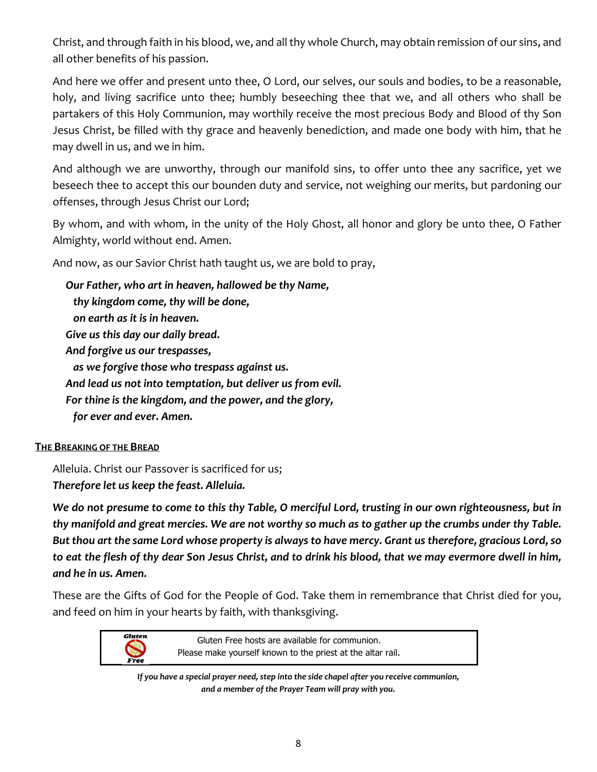Christ, and through faith in his blood, we, and all thy whole Church, may obtain remission of our sins, and all other benefits of his passion.

And here we offer and present unto thee, O Lord, our selves, our souls and bodies, to be a reasonable, holy, and living sacrifice unto thee; humbly beseeching thee that we, and all others who shall be partakers of this Holy Communion, may worthily receive the most precious Body and Blood of thy Son Jesus Christ, be filled with thy grace and heavenly benediction, and made one body with him, that he may dwell in us, and we in him.

And although we are unworthy, through our manifold sins, to offer unto thee any sacrifice, yet we beseech thee to accept this our bounden duty and service, not weighing our merits, but pardoning our offenses, through Jesus Christ our Lord;

By whom, and with whom, in the unity of the Holy Ghost, all honor and glory be unto thee, O Father Almighty, world without end. Amen.

And now, as our Savior Christ hath taught us, we are bold to pray,

*Our Father, who art in heaven, hallowed be thy Name, thy kingdom come, thy will be done, on earth as it is in heaven. Give us this day our daily bread. And forgive us our trespasses, as we forgive those who trespass against us. And lead us not into temptation, but deliver us from evil. For thine is the kingdom, and the power, and the glory, for ever and ever. Amen.*

#### **THE BREAKING OF THE BREAD**

Alleluia. Christ our Passover is sacrificed for us; *Therefore let us keep the feast. Alleluia.*

*We do not presume to come to this thy Table, O merciful Lord, trusting in our own righteousness, but in thy manifold and great mercies. We are not worthy so much as to gather up the crumbs under thy Table. But thou art the same Lord whose property is always to have mercy. Grant us therefore, gracious Lord, so to eat the flesh of thy dear Son Jesus Christ, and to drink his blood, that we may evermore dwell in him, and he in us. Amen.*

These are the Gifts of God for the People of God. Take them in remembrance that Christ died for you, and feed on him in your hearts by faith, with thanksgiving.



Gluten Free hosts are available for communion. Please make yourself known to the priest at the altar rail.

*If you have a special prayer need, step into the side chapel after you receive communion, and a member of the Prayer Team will pray with you.*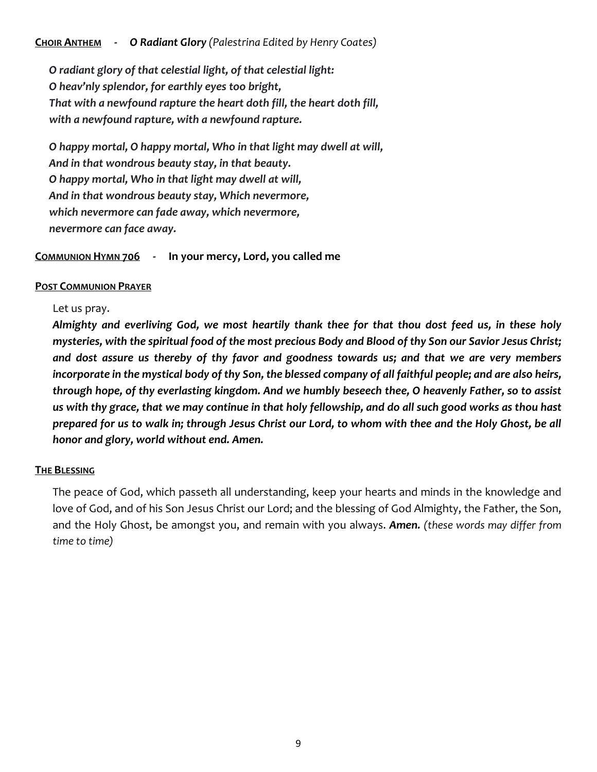#### **CHOIR ANTHEM -** *O Radiant Glory (Palestrina Edited by Henry Coates)*

*O radiant glory of that celestial light, of that celestial light: O heav'nly splendor, for earthly eyes too bright, That with a newfound rapture the heart doth fill, the heart doth fill, with a newfound rapture, with a newfound rapture.*

*O happy mortal, O happy mortal, Who in that light may dwell at will, And in that wondrous beauty stay, in that beauty. O happy mortal, Who in that light may dwell at will, And in that wondrous beauty stay, Which nevermore, which nevermore can fade away, which nevermore, nevermore can face away.*

**COMMUNION HYMN 706 - In your mercy, Lord, you called me**

#### **POST COMMUNION PRAYER**

#### Let us pray.

*Almighty and everliving God, we most heartily thank thee for that thou dost feed us, in these holy mysteries, with the spiritual food of the most precious Body and Blood of thy Son our Savior Jesus Christ; and dost assure us thereby of thy favor and goodness towards us; and that we are very members incorporate in the mystical body of thy Son, the blessed company of all faithful people; and are also heirs, through hope, of thy everlasting kingdom. And we humbly beseech thee, O heavenly Father, so to assist us with thy grace, that we may continue in that holy fellowship, and do all such good works as thou hast prepared for us to walk in; through Jesus Christ our Lord, to whom with thee and the Holy Ghost, be all honor and glory, world without end. Amen.*

#### **THE BLESSING**

The peace of God, which passeth all understanding, keep your hearts and minds in the knowledge and love of God, and of his Son Jesus Christ our Lord; and the blessing of God Almighty, the Father, the Son, and the Holy Ghost, be amongst you, and remain with you always. *Amen. (these words may differ from time to time)*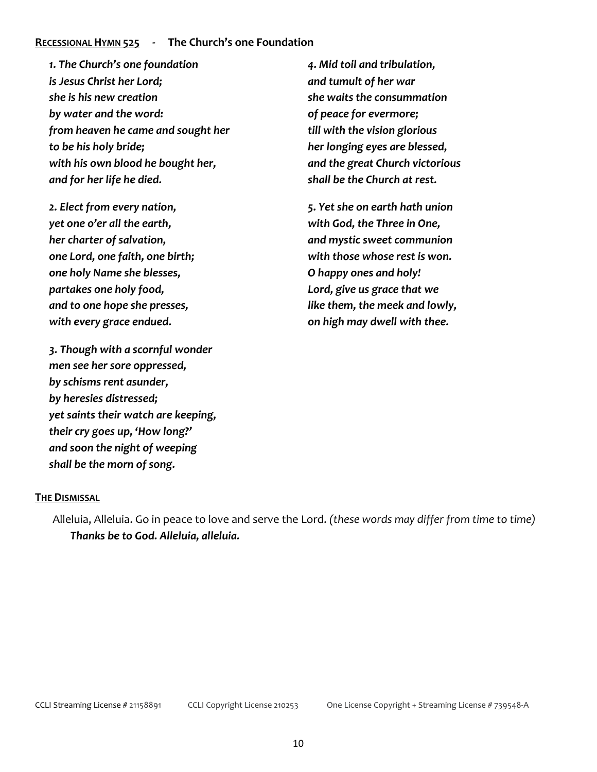#### **RECESSIONAL HYMN 525 - The Church's one Foundation**

*1. The Church's one foundation is Jesus Christ her Lord; she is his new creation by water and the word: from heaven he came and sought her to be his holy bride; with his own blood he bought her, and for her life he died.*

*2. Elect from every nation, yet one o'er all the earth, her charter of salvation, one Lord, one faith, one birth; one holy Name she blesses, partakes one holy food, and to one hope she presses, with every grace endued.*

*3. Though with a scornful wonder men see her sore oppressed, by schisms rent asunder, by heresies distressed; yet saints their watch are keeping, their cry goes up, 'How long?' and soon the night of weeping shall be the morn of song.*

*4. Mid toil and tribulation, and tumult of her war she waits the consummation of peace for evermore; till with the vision glorious her longing eyes are blessed, and the great Church victorious shall be the Church at rest.*

*5. Yet she on earth hath union with God, the Three in One, and mystic sweet communion with those whose rest is won. O happy ones and holy! Lord, give us grace that we like them, the meek and lowly, on high may dwell with thee.*

#### **THE DISMISSAL**

Alleluia, Alleluia. Go in peace to love and serve the Lord. *(these words may differ from time to time) Thanks be to God. Alleluia, alleluia.*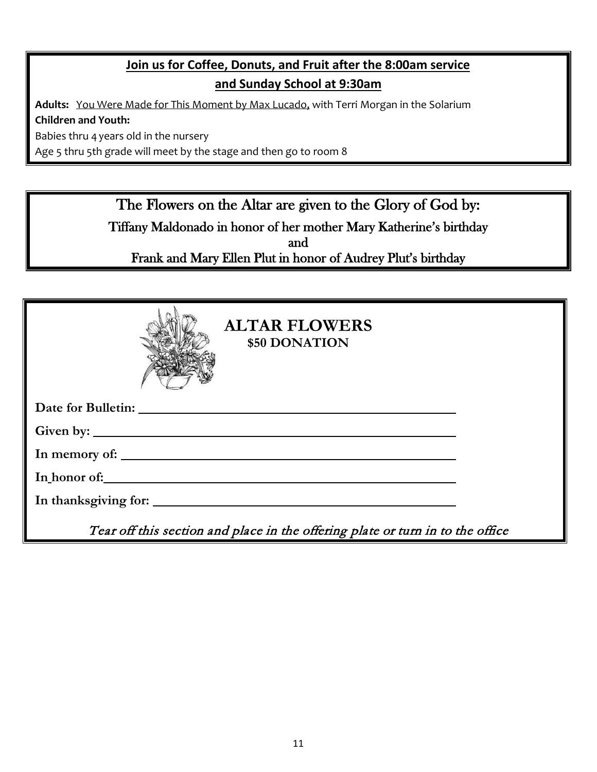# **Join us for Coffee, Donuts, and Fruit after the 8:00am service and Sunday School at 9:30am**

**Adults:** You Were Made for This Moment by Max Lucado, with Terri Morgan in the Solarium **Children and Youth:**

Babies thru 4 years old in the nursery

Age 5 thru 5th grade will meet by the stage and then go to room 8

The Flowers on the Altar are given to the Glory of God by: Tiffany Maldonado in honor of her mother Mary Katherine's birthday and Frank and Mary Ellen Plut in honor of Audrey Plut's birthday

| <b>ALTAR FLOWERS</b><br>\$50 DONATION                                          |
|--------------------------------------------------------------------------------|
|                                                                                |
|                                                                                |
|                                                                                |
| In honor of:                                                                   |
| In thanksgiving for:                                                           |
| Tear off this section and place in the offering plate or turn in to the office |